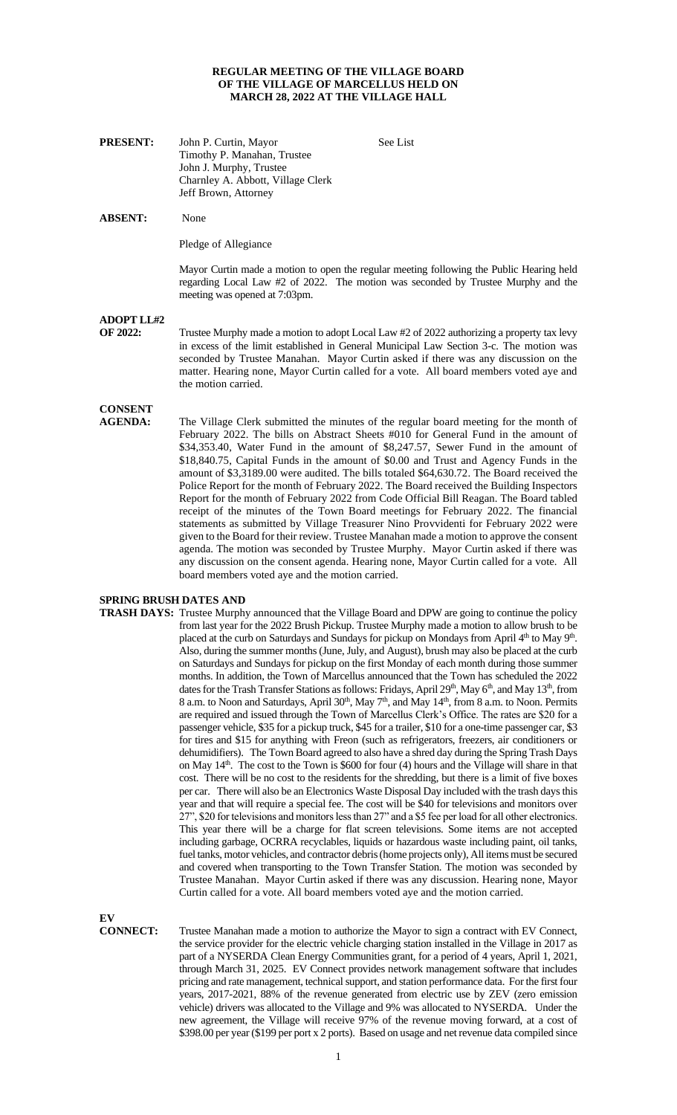## **REGULAR MEETING OF THE VILLAGE BOARD OF THE VILLAGE OF MARCELLUS HELD ON MARCH 28, 2022 AT THE VILLAGE HALL**

| <b>PRESENT:</b> | John P. Curtin, Mayor             |
|-----------------|-----------------------------------|
|                 | Timothy P. Manahan, Trustee       |
|                 | John J. Murphy, Trustee           |
|                 | Charnley A. Abbott, Village Clerk |
|                 | Jeff Brown, Attorney              |

**ABSENT:** None

Pledge of Allegiance

Mayor Curtin made a motion to open the regular meeting following the Public Hearing held regarding Local Law #2 of 2022. The motion was seconded by Trustee Murphy and the meeting was opened at 7:03pm.

**See List** 

**ADOPT LL#2** 

**OF 2022:** Trustee Murphy made a motion to adopt Local Law #2 of 2022 authorizing a property tax levy in excess of the limit established in General Municipal Law Section 3-c. The motion was seconded by Trustee Manahan. Mayor Curtin asked if there was any discussion on the matter. Hearing none, Mayor Curtin called for a vote. All board members voted aye and the motion carried.

## **CONSENT**

The Village Clerk submitted the minutes of the regular board meeting for the month of February 2022. The bills on Abstract Sheets #010 for General Fund in the amount of \$34,353.40, Water Fund in the amount of \$8,247.57, Sewer Fund in the amount of \$18,840.75, Capital Funds in the amount of \$0.00 and Trust and Agency Funds in the amount of \$3,3189.00 were audited. The bills totaled \$64,630.72. The Board received the Police Report for the month of February 2022. The Board received the Building Inspectors Report for the month of February 2022 from Code Official Bill Reagan. The Board tabled receipt of the minutes of the Town Board meetings for February 2022. The financial statements as submitted by Village Treasurer Nino Provvidenti for February 2022 were given to the Board for their review. Trustee Manahan made a motion to approve the consent agenda. The motion was seconded by Trustee Murphy. Mayor Curtin asked if there was any discussion on the consent agenda. Hearing none, Mayor Curtin called for a vote. All board members voted aye and the motion carried.

## **SPRING BRUSH DATES AND**

**TRASH DAYS:** Trustee Murphy announced that the Village Board and DPW are going to continue the policy from last year for the 2022 Brush Pickup. Trustee Murphy made a motion to allow brush to be placed at the curb on Saturdays and Sundays for pickup on Mondays from April 4<sup>th</sup> to May 9<sup>th</sup>. Also, during the summer months (June, July, and August), brush may also be placed at the curb on Saturdays and Sundays for pickup on the first Monday of each month during those summer months. In addition, the Town of Marcellus announced that the Town has scheduled the 2022 dates for the Trash Transfer Stations as follows: Fridays, April 29<sup>th</sup>, May 6<sup>th</sup>, and May 13<sup>th</sup>, from 8 a.m. to Noon and Saturdays, April 30<sup>th</sup>, May 7<sup>th</sup>, and May 14<sup>th</sup>, from 8 a.m. to Noon. Permits are required and issued through the Town of Marcellus Clerk's Office. The rates are \$20 for a passenger vehicle, \$35 for a pickup truck, \$45 for a trailer, \$10 for a one-time passenger car, \$3 for tires and \$15 for anything with Freon (such as refrigerators, freezers, air conditioners or dehumidifiers). The Town Board agreed to also have a shred day during the Spring Trash Days on May  $14<sup>th</sup>$ . The cost to the Town is \$600 for four (4) hours and the Village will share in that cost. There will be no cost to the residents for the shredding, but there is a limit of five boxes per car. There will also be an Electronics Waste Disposal Day included with the trash days this year and that will require a special fee. The cost will be \$40 for televisions and monitors over 27", \$20 for televisions and monitors less than 27" and a \$5 fee per load for all other electronics. This year there will be a charge for flat screen televisions. Some items are not accepted including garbage, OCRRA recyclables, liquids or hazardous waste including paint, oil tanks, fuel tanks, motor vehicles, and contractor debris (home projects only), All items must be secured and covered when transporting to the Town Transfer Station. The motion was seconded by Trustee Manahan. Mayor Curtin asked if there was any discussion. Hearing none, Mayor Curtin called for a vote. All board members voted aye and the motion carried.

**EV** 

**CONNECT:** Trustee Manahan made a motion to authorize the Mayor to sign a contract with EV Connect, the service provider for the electric vehicle charging station installed in the Village in 2017 as part of a NYSERDA Clean Energy Communities grant, for a period of 4 years, April 1, 2021, through March 31, 2025. EV Connect provides network management software that includes pricing and rate management, technical support, and station performance data. For the first four years, 2017-2021, 88% of the revenue generated from electric use by ZEV (zero emission vehicle) drivers was allocated to the Village and 9% was allocated to NYSERDA. Under the new agreement, the Village will receive 97% of the revenue moving forward, at a cost of \$398.00 per year (\$199 per port x 2 ports). Based on usage and net revenue data compiled since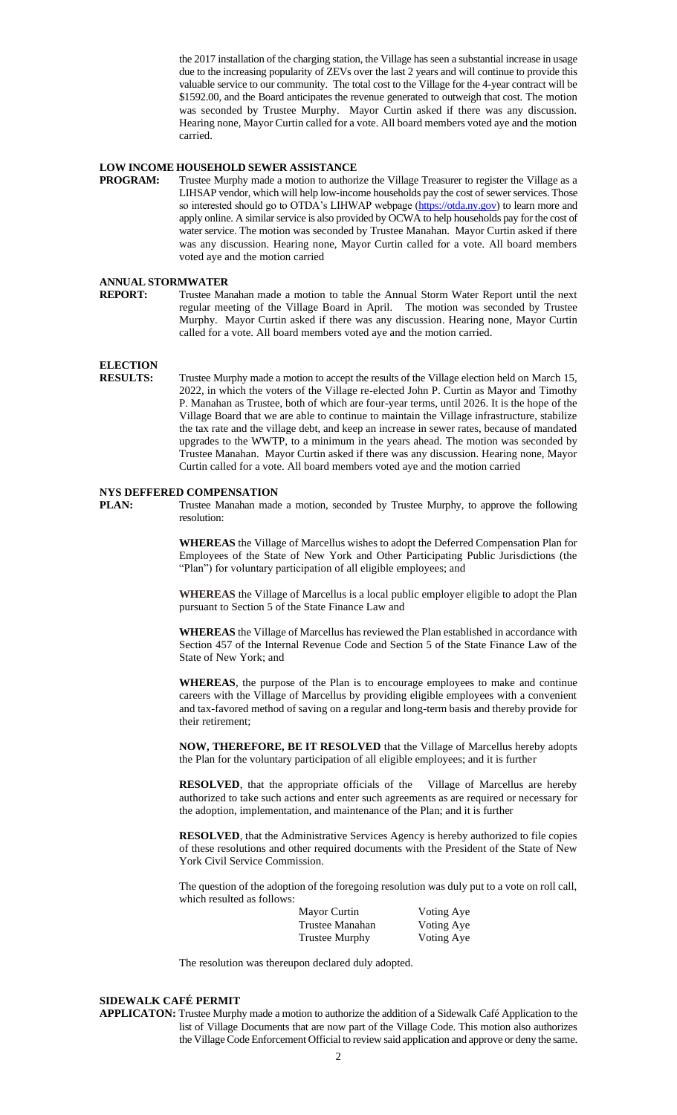the 2017 installation of the charging station, the Village has seen a substantial increase in usage due to the increasing popularity of ZEVs over the last 2 years and will continue to provide this valuable service to our community. The total cost to the Village for the 4-year contract will be \$1592.00, and the Board anticipates the revenue generated to outweigh that cost. The motion was seconded by Trustee Murphy. Mayor Curtin asked if there was any discussion. Hearing none, Mayor Curtin called for a vote. All board members voted aye and the motion carried.

## **LOW INCOME HOUSEHOLD SEWER ASSISTANCE**

**PROGRAM:** Trustee Murphy made a motion to authorize the Village Treasurer to register the Village as a LIHSAP vendor, which will help low-income households pay the cost of sewer services. Those so interested should go to OTDA's LIHWAP webpage [\(https://otda.ny.gov\)](https://otda.ny.gov/) to learn more and apply online. A similar service is also provided by OCWA to help households pay for the cost of water service. The motion was seconded by Trustee Manahan. Mayor Curtin asked if there was any discussion. Hearing none, Mayor Curtin called for a vote. All board members voted aye and the motion carried

# **ANNUAL STORMWATER**<br>**REPORT:** Trustee Mar

Trustee Manahan made a motion to table the Annual Storm Water Report until the next regular meeting of the Village Board in April. The motion was seconded by Trustee Murphy. Mayor Curtin asked if there was any discussion. Hearing none, Mayor Curtin called for a vote. All board members voted aye and the motion carried.

## **ELECTION**

**RESULTS:** Trustee Murphy made a motion to accept the results of the Village election held on March 15, 2022, in which the voters of the Village re-elected John P. Curtin as Mayor and Timothy P. Manahan as Trustee, both of which are four-year terms, until 2026. It is the hope of the Village Board that we are able to continue to maintain the Village infrastructure, stabilize the tax rate and the village debt, and keep an increase in sewer rates, because of mandated upgrades to the WWTP, to a minimum in the years ahead. The motion was seconded by Trustee Manahan. Mayor Curtin asked if there was any discussion. Hearing none, Mayor Curtin called for a vote. All board members voted aye and the motion carried

## **NYS DEFFERED COMPENSATION**

**PLAN:** Trustee Manahan made a motion, seconded by Trustee Murphy, to approve the following resolution:

> **WHEREAS** the Village of Marcellus wishes to adopt the Deferred Compensation Plan for Employees of the State of New York and Other Participating Public Jurisdictions (the "Plan") for voluntary participation of all eligible employees; and

> **WHEREAS** the Village of Marcellus is a local public employer eligible to adopt the Plan pursuant to Section 5 of the State Finance Law and

> **WHEREAS** the Village of Marcellus has reviewed the Plan established in accordance with Section 457 of the Internal Revenue Code and Section 5 of the State Finance Law of the State of New York; and

> **WHEREAS**, the purpose of the Plan is to encourage employees to make and continue careers with the Village of Marcellus by providing eligible employees with a convenient and tax-favored method of saving on a regular and long-term basis and thereby provide for their retirement;

> **NOW, THEREFORE, BE IT RESOLVED** that the Village of Marcellus hereby adopts the Plan for the voluntary participation of all eligible employees; and it is further

> **RESOLVED**, that the appropriate officials of the Village of Marcellus are hereby authorized to take such actions and enter such agreements as are required or necessary for the adoption, implementation, and maintenance of the Plan; and it is further

> **RESOLVED**, that the Administrative Services Agency is hereby authorized to file copies of these resolutions and other required documents with the President of the State of New York Civil Service Commission.

> The question of the adoption of the foregoing resolution was duly put to a vote on roll call, which resulted as follows:

| Mayor Curtin          | Voting Aye |
|-----------------------|------------|
| Trustee Manahan       | Voting Aye |
| <b>Trustee Murphy</b> | Voting Aye |

The resolution was thereupon declared duly adopted.

## **SIDEWALK CAFÉ PERMIT**

**APPLICATON:** Trustee Murphy made a motion to authorize the addition of a Sidewalk Café Application to the list of Village Documents that are now part of the Village Code. This motion also authorizes the Village Code Enforcement Official to review said application and approve or deny the same.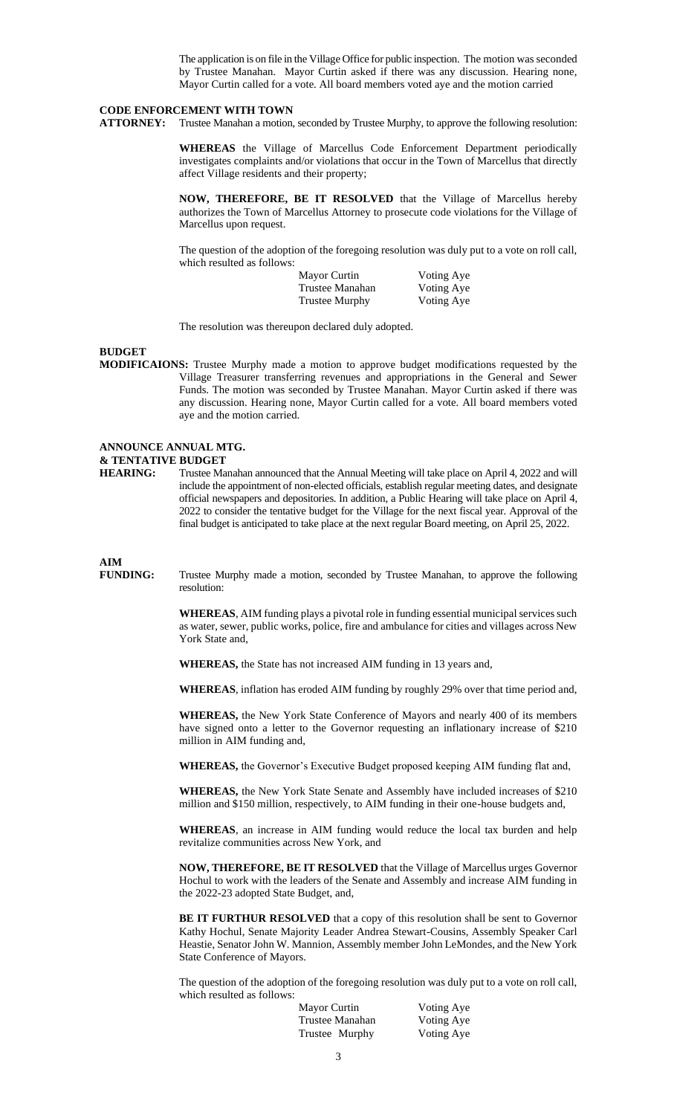The application is on file in the Village Office for public inspection. The motion was seconded by Trustee Manahan. Mayor Curtin asked if there was any discussion. Hearing none, Mayor Curtin called for a vote. All board members voted aye and the motion carried

#### **CODE ENFORCEMENT WITH TOWN**

**ATTORNEY:** Trustee Manahan a motion, seconded by Trustee Murphy, to approve the following resolution:

**WHEREAS** the Village of Marcellus Code Enforcement Department periodically investigates complaints and/or violations that occur in the Town of Marcellus that directly affect Village residents and their property;

**NOW, THEREFORE, BE IT RESOLVED** that the Village of Marcellus hereby authorizes the Town of Marcellus Attorney to prosecute code violations for the Village of Marcellus upon request.

The question of the adoption of the foregoing resolution was duly put to a vote on roll call, which resulted as follows:

| Mayor Curtin          | Voting Aye |
|-----------------------|------------|
| Trustee Manahan       | Voting Aye |
| <b>Trustee Murphy</b> | Voting Aye |

The resolution was thereupon declared duly adopted.

## **BUDGET**

**MODIFICAIONS:** Trustee Murphy made a motion to approve budget modifications requested by the Village Treasurer transferring revenues and appropriations in the General and Sewer Funds. The motion was seconded by Trustee Manahan. Mayor Curtin asked if there was any discussion. Hearing none, Mayor Curtin called for a vote. All board members voted aye and the motion carried.

## **ANNOUNCE ANNUAL MTG. & TENTATIVE BUDGET**

**HEARING:** Trustee Manahan announced that the Annual Meeting will take place on April 4, 2022 and will include the appointment of non-elected officials, establish regular meeting dates, and designate official newspapers and depositories. In addition, a Public Hearing will take place on April 4, 2022 to consider the tentative budget for the Village for the next fiscal year. Approval of the final budget is anticipated to take place at the next regular Board meeting, on April 25, 2022.

## **AIM**

**FUNDING:** Trustee Murphy made a motion, seconded by Trustee Manahan, to approve the following resolution:

> **WHEREAS**, AIM funding plays a pivotal role in funding essential municipal services such as water, sewer, public works, police, fire and ambulance for cities and villages across New York State and,

**WHEREAS,** the State has not increased AIM funding in 13 years and,

**WHEREAS**, inflation has eroded AIM funding by roughly 29% over that time period and,

**WHEREAS,** the New York State Conference of Mayors and nearly 400 of its members have signed onto a letter to the Governor requesting an inflationary increase of \$210 million in AIM funding and,

**WHEREAS,** the Governor's Executive Budget proposed keeping AIM funding flat and,

**WHEREAS,** the New York State Senate and Assembly have included increases of \$210 million and \$150 million, respectively, to AIM funding in their one-house budgets and,

**WHEREAS**, an increase in AIM funding would reduce the local tax burden and help revitalize communities across New York, and

**NOW, THEREFORE, BE IT RESOLVED** that the Village of Marcellus urges Governor Hochul to work with the leaders of the Senate and Assembly and increase AIM funding in the 2022-23 adopted State Budget, and,

**BE IT FURTHUR RESOLVED** that a copy of this resolution shall be sent to Governor Kathy Hochul, Senate Majority Leader Andrea Stewart-Cousins, Assembly Speaker Carl Heastie, Senator John W. Mannion, Assembly member John LeMondes, and the New York State Conference of Mayors.

The question of the adoption of the foregoing resolution was duly put to a vote on roll call, which resulted as follows:

| Mayor Curtin    | Voting Aye |
|-----------------|------------|
| Trustee Manahan | Voting Aye |
| Trustee Murphy  | Voting Aye |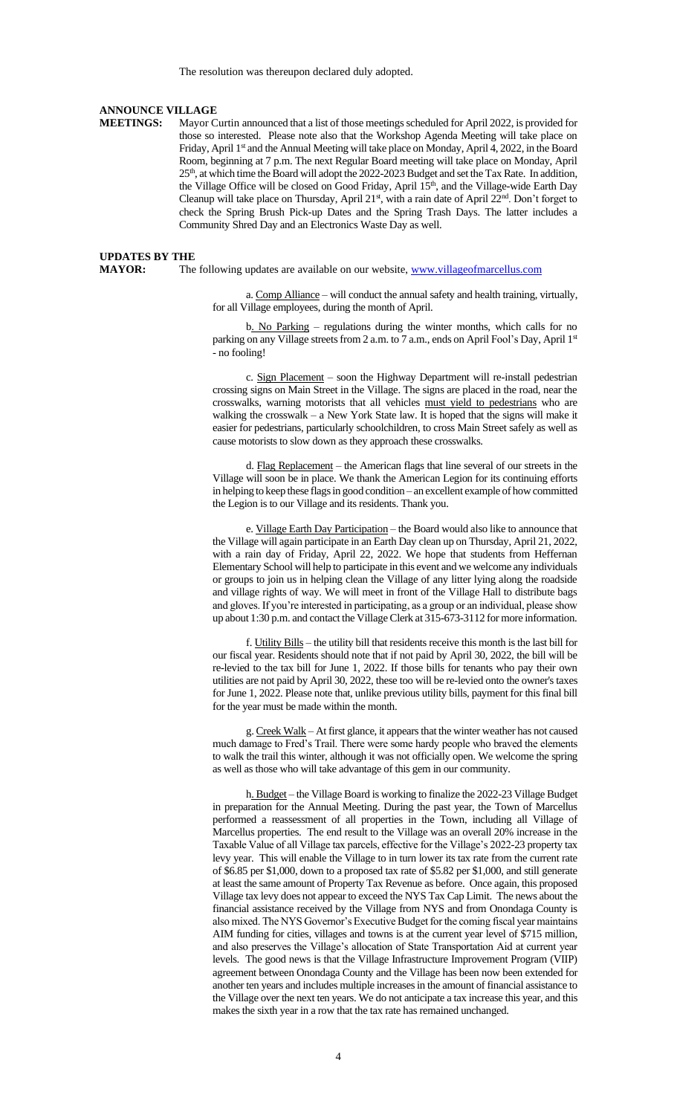The resolution was thereupon declared duly adopted.

#### **ANNOUNCE VILLAGE**

**MEETINGS:** Mayor Curtin announced that a list of those meetings scheduled for April 2022, is provided for those so interested. Please note also that the Workshop Agenda Meeting will take place on Friday, April 1<sup>st</sup> and the Annual Meeting will take place on Monday, April 4, 2022, in the Board Room, beginning at 7 p.m. The next Regular Board meeting will take place on Monday, April 25<sup>th</sup>, at which time the Board will adopt the 2022-2023 Budget and set the Tax Rate. In addition, the Village Office will be closed on Good Friday, April  $15<sup>th</sup>$ , and the Village-wide Earth Day Cleanup will take place on Thursday, April 21<sup>st</sup>, with a rain date of April 22<sup>nd</sup>. Don't forget to check the Spring Brush Pick-up Dates and the Spring Trash Days. The latter includes a Community Shred Day and an Electronics Waste Day as well.

#### **UPDATES BY THE**

**MAYOR:** The following updates are available on our website, [www.villageofmarcellus.com](http://www.villageofmarcellus.com/)

a. Comp Alliance – will conduct the annual safety and health training, virtually, for all Village employees, during the month of April.

b. No Parking – regulations during the winter months, which calls for no parking on any Village streets from 2 a.m. to 7 a.m., ends on April Fool's Day, April 1st - no fooling!

c. Sign Placement – soon the Highway Department will re-install pedestrian crossing signs on Main Street in the Village. The signs are placed in the road, near the crosswalks, warning motorists that all vehicles must yield to pedestrians who are walking the crosswalk – a New York State law. It is hoped that the signs will make it easier for pedestrians, particularly schoolchildren, to cross Main Street safely as well as cause motorists to slow down as they approach these crosswalks.

d. Flag Replacement – the American flags that line several of our streets in the Village will soon be in place. We thank the American Legion for its continuing efforts in helping to keep these flags in good condition – an excellent example of how committed the Legion is to our Village and its residents. Thank you.

e. Village Earth Day Participation – the Board would also like to announce that the Village will again participate in an Earth Day clean up on Thursday, April 21, 2022, with a rain day of Friday, April 22, 2022. We hope that students from Heffernan Elementary School will help to participate in this event and we welcome any individuals or groups to join us in helping clean the Village of any litter lying along the roadside and village rights of way. We will meet in front of the Village Hall to distribute bags and gloves. If you're interested in participating, as a group or an individual, please show up about 1:30 p.m. and contact the Village Clerk at 315-673-3112 for more information.

f. Utility Bills – the utility bill that residents receive this month is the last bill for our fiscal year. Residents should note that if not paid by April 30, 2022, the bill will be re-levied to the tax bill for June 1, 2022. If those bills for tenants who pay their own utilities are not paid by April 30, 2022, these too will be re-levied onto the owner's taxes for June 1, 2022. Please note that, unlike previous utility bills, payment for this final bill for the year must be made within the month.

g. Creek Walk – At first glance, it appears that the winter weather has not caused much damage to Fred's Trail. There were some hardy people who braved the elements to walk the trail this winter, although it was not officially open. We welcome the spring as well as those who will take advantage of this gem in our community.

h. Budget – the Village Board is working to finalize the 2022-23 Village Budget in preparation for the Annual Meeting. During the past year, the Town of Marcellus performed a reassessment of all properties in the Town, including all Village of Marcellus properties. The end result to the Village was an overall 20% increase in the Taxable Value of all Village tax parcels, effective for the Village's 2022-23 property tax levy year. This will enable the Village to in turn lower its tax rate from the current rate of \$6.85 per \$1,000, down to a proposed tax rate of \$5.82 per \$1,000, and still generate at least the same amount of Property Tax Revenue as before. Once again, this proposed Village tax levy does not appear to exceed the NYS Tax Cap Limit. The news about the financial assistance received by the Village from NYS and from Onondaga County is also mixed. The NYS Governor's Executive Budget for the coming fiscal year maintains AIM funding for cities, villages and towns is at the current year level of \$715 million, and also preserves the Village's allocation of State Transportation Aid at current year levels. The good news is that the Village Infrastructure Improvement Program (VIIP) agreement between Onondaga County and the Village has been now been extended for another ten years and includes multiple increases in the amount of financial assistance to the Village over the next ten years. We do not anticipate a tax increase this year, and this makes the sixth year in a row that the tax rate has remained unchanged.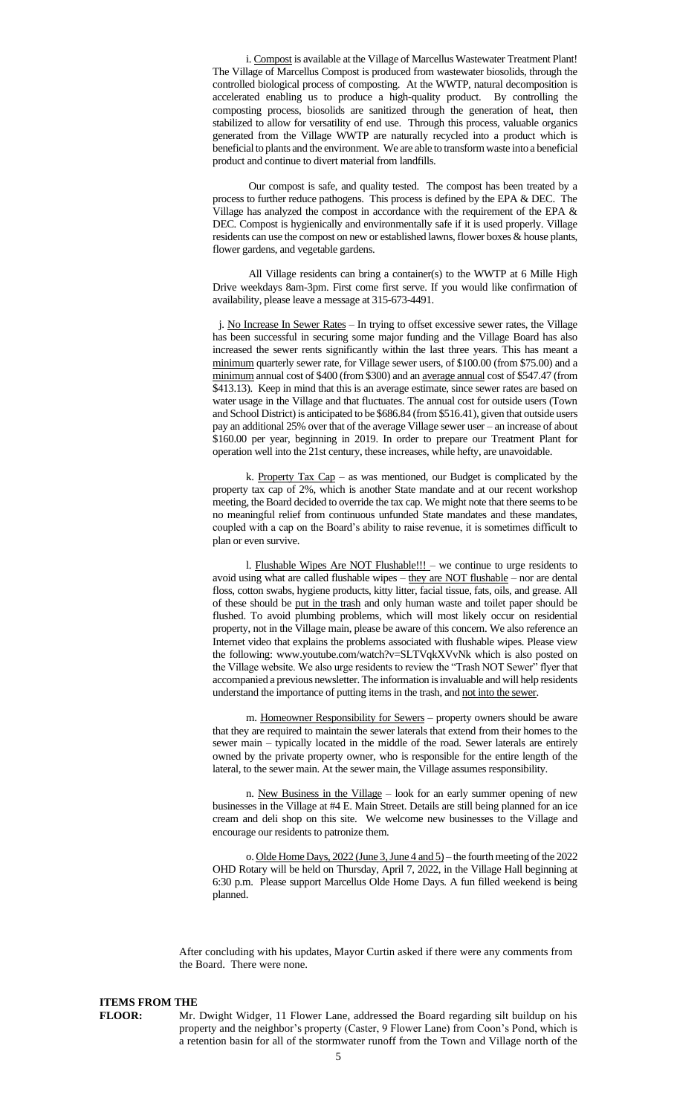i. Compost is available at the Village of Marcellus Wastewater Treatment Plant! The Village of Marcellus Compost is produced from wastewater biosolids, through the controlled biological process of composting. At the WWTP, natural decomposition is accelerated enabling us to produce a high-quality product. By controlling the composting process, biosolids are sanitized through the generation of heat, then stabilized to allow for versatility of end use. Through this process, valuable organics generated from the Village WWTP are naturally recycled into a product which is beneficial to plants and the environment. We are able to transform waste into a beneficial product and continue to divert material from landfills.

Our compost is safe, and quality tested. The compost has been treated by a process to further reduce pathogens. This process is defined by the EPA & DEC. The Village has analyzed the compost in accordance with the requirement of the EPA & DEC. Compost is hygienically and environmentally safe if it is used properly. Village residents can use the compost on new or established lawns, flower boxes & house plants, flower gardens, and vegetable gardens.

All Village residents can bring a container(s) to the WWTP at 6 Mille High Drive weekdays 8am-3pm. First come first serve. If you would like confirmation of availability, please leave a message at 315-673-4491.

j. No Increase In Sewer Rates – In trying to offset excessive sewer rates, the Village has been successful in securing some major funding and the Village Board has also increased the sewer rents significantly within the last three years. This has meant a minimum quarterly sewer rate, for Village sewer users, of \$100.00 (from \$75.00) and a minimum annual cost of \$400 (from \$300) and an average annual cost of \$547.47 (from \$413.13). Keep in mind that this is an average estimate, since sewer rates are based on water usage in the Village and that fluctuates. The annual cost for outside users (Town and School District) is anticipated to be \$686.84 (from \$516.41), given that outside users pay an additional 25% over that of the average Village sewer user – an increase of about \$160.00 per year, beginning in 2019. In order to prepare our Treatment Plant for operation well into the 21st century, these increases, while hefty, are unavoidable.

k. Property Tax Cap – as was mentioned, our Budget is complicated by the property tax cap of 2%, which is another State mandate and at our recent workshop meeting, the Board decided to override the tax cap. We might note that there seems to be no meaningful relief from continuous unfunded State mandates and these mandates, coupled with a cap on the Board's ability to raise revenue, it is sometimes difficult to plan or even survive.

l. Flushable Wipes Are NOT Flushable!!! – we continue to urge residents to avoid using what are called flushable wipes – they are NOT flushable – nor are dental floss, cotton swabs, hygiene products, kitty litter, facial tissue, fats, oils, and grease. All of these should be put in the trash and only human waste and toilet paper should be flushed. To avoid plumbing problems, which will most likely occur on residential property, not in the Village main, please be aware of this concern. We also reference an Internet video that explains the problems associated with flushable wipes. Please view the following: www.youtube.com/watch?v=SLTVqkXVvNk which is also posted on the Village website. We also urge residents to review the "Trash NOT Sewer" flyer that accompanied a previous newsletter. The information is invaluable and will help residents understand the importance of putting items in the trash, and not into the sewer.

m. Homeowner Responsibility for Sewers – property owners should be aware that they are required to maintain the sewer laterals that extend from their homes to the sewer main – typically located in the middle of the road. Sewer laterals are entirely owned by the private property owner, who is responsible for the entire length of the lateral, to the sewer main. At the sewer main, the Village assumes responsibility.

n. New Business in the Village – look for an early summer opening of new businesses in the Village at #4 E. Main Street. Details are still being planned for an ice cream and deli shop on this site. We welcome new businesses to the Village and encourage our residents to patronize them.

o. Olde Home Days, 2022 (June 3, June 4 and 5) – the fourth meeting of the 2022 OHD Rotary will be held on Thursday, April 7, 2022, in the Village Hall beginning at 6:30 p.m. Please support Marcellus Olde Home Days. A fun filled weekend is being planned.

After concluding with his updates, Mayor Curtin asked if there were any comments from the Board. There were none.

## **ITEMS FROM THE**

**FLOOR:** Mr. Dwight Widger, 11 Flower Lane, addressed the Board regarding silt buildup on his property and the neighbor's property (Caster, 9 Flower Lane) from Coon's Pond, which is a retention basin for all of the stormwater runoff from the Town and Village north of the